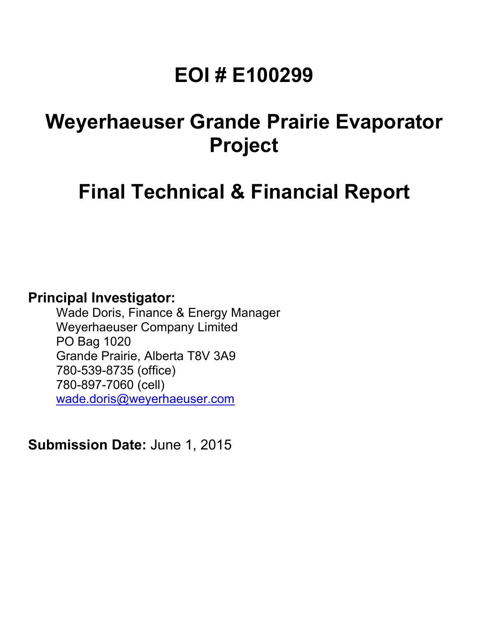# **EOI # E100299**

## **Weyerhaeuser Grande Prairie Evaporator Project**

**Final Technical & Financial Report**

### **Principal Investigator:**

Wade Doris, Finance & Energy Manager Weyerhaeuser Company Limited PO Bag 1020 Grande Prairie, Alberta T8V 3A9 780-539-8735 (office) 780-897-7060 (cell) [wade.doris@weyerhaeuser.com](mailto:wade.doris@weyerhaeuser.com)

**Submission Date:** June 1, 2015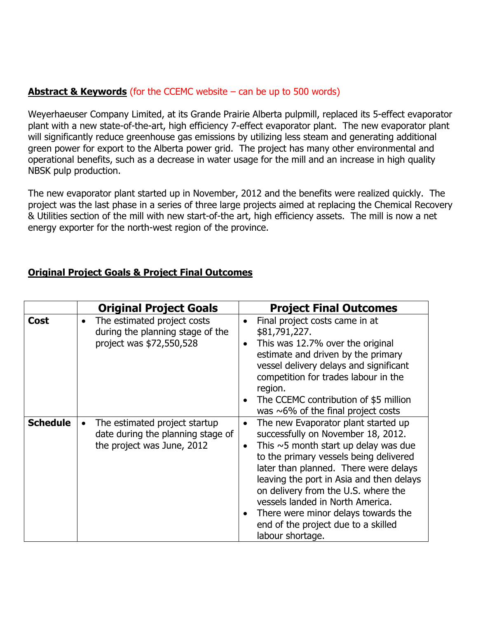#### **Abstract & Keywords** (for the CCEMC website – can be up to 500 words)

Weyerhaeuser Company Limited, at its Grande Prairie Alberta pulpmill, replaced its 5-effect evaporator plant with a new state-of-the-art, high efficiency 7-effect evaporator plant. The new evaporator plant will significantly reduce greenhouse gas emissions by utilizing less steam and generating additional green power for export to the Alberta power grid. The project has many other environmental and operational benefits, such as a decrease in water usage for the mill and an increase in high quality NBSK pulp production.

The new evaporator plant started up in November, 2012 and the benefits were realized quickly. The project was the last phase in a series of three large projects aimed at replacing the Chemical Recovery & Utilities section of the mill with new start-of-the art, high efficiency assets. The mill is now a net energy exporter for the north-west region of the province.

#### **Original Project Goals & Project Final Outcomes**

|                 | <b>Original Project Goals</b>                                                                                 | <b>Project Final Outcomes</b>                                                                                                                                                                                                                                                                                                                                                                                                                    |
|-----------------|---------------------------------------------------------------------------------------------------------------|--------------------------------------------------------------------------------------------------------------------------------------------------------------------------------------------------------------------------------------------------------------------------------------------------------------------------------------------------------------------------------------------------------------------------------------------------|
| <b>Cost</b>     | The estimated project costs<br>$\bullet$<br>during the planning stage of the<br>project was \$72,550,528      | Final project costs came in at<br>\$81,791,227.<br>This was 12.7% over the original<br>estimate and driven by the primary<br>vessel delivery delays and significant<br>competition for trades labour in the<br>region.<br>The CCEMC contribution of \$5 million<br>was $\sim$ 6% of the final project costs                                                                                                                                      |
| <b>Schedule</b> | The estimated project startup<br>$\bullet$<br>date during the planning stage of<br>the project was June, 2012 | The new Evaporator plant started up<br>$\bullet$<br>successfully on November 18, 2012.<br>This $\sim$ 5 month start up delay was due<br>to the primary vessels being delivered<br>later than planned. There were delays<br>leaving the port in Asia and then delays<br>on delivery from the U.S. where the<br>vessels landed in North America.<br>There were minor delays towards the<br>end of the project due to a skilled<br>labour shortage. |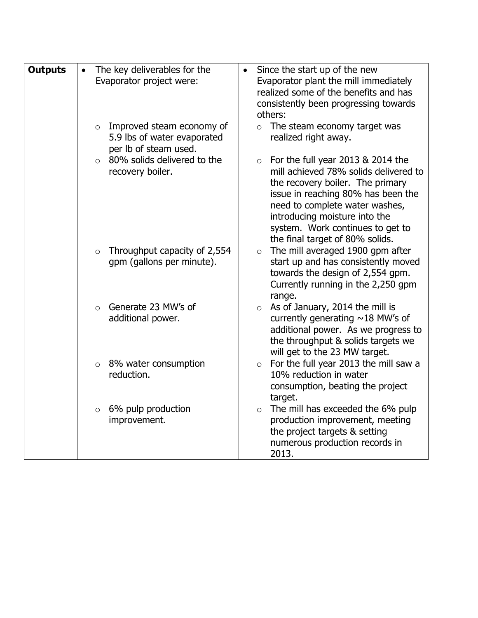| <b>Outputs</b> | $\bullet$ | The key deliverables for the<br>Evaporator project were:                          | $\bullet$ | Since the start up of the new<br>Evaporator plant the mill immediately<br>realized some of the benefits and has<br>consistently been progressing towards<br>others:                                                                                                                                    |
|----------------|-----------|-----------------------------------------------------------------------------------|-----------|--------------------------------------------------------------------------------------------------------------------------------------------------------------------------------------------------------------------------------------------------------------------------------------------------------|
|                | $\circ$   | Improved steam economy of<br>5.9 lbs of water evaporated<br>per lb of steam used. |           | The steam economy target was<br>$\circ$<br>realized right away.                                                                                                                                                                                                                                        |
|                |           | $\circ$ 80% solids delivered to the<br>recovery boiler.                           |           | $\circ$ For the full year 2013 & 2014 the<br>mill achieved 78% solids delivered to<br>the recovery boiler. The primary<br>issue in reaching 80% has been the<br>need to complete water washes,<br>introducing moisture into the<br>system. Work continues to get to<br>the final target of 80% solids. |
|                | $\circ$   | Throughput capacity of 2,554<br>gpm (gallons per minute).                         |           | The mill averaged 1900 gpm after<br>$\circ$<br>start up and has consistently moved<br>towards the design of 2,554 gpm.<br>Currently running in the 2,250 gpm<br>range.                                                                                                                                 |
|                | $\Omega$  | Generate 23 MW's of<br>additional power.                                          |           | $\circ$ As of January, 2014 the mill is<br>currently generating $\sim$ 18 MW's of<br>additional power. As we progress to<br>the throughput & solids targets we<br>will get to the 23 MW target.                                                                                                        |
|                |           | $\circ$ 8% water consumption<br>reduction.                                        |           | $\circ$ For the full year 2013 the mill saw a<br>10% reduction in water<br>consumption, beating the project<br>target.                                                                                                                                                                                 |
|                | $\circ$   | 6% pulp production<br>improvement.                                                |           | The mill has exceeded the 6% pulp<br>$\circ$<br>production improvement, meeting<br>the project targets & setting<br>numerous production records in<br>2013.                                                                                                                                            |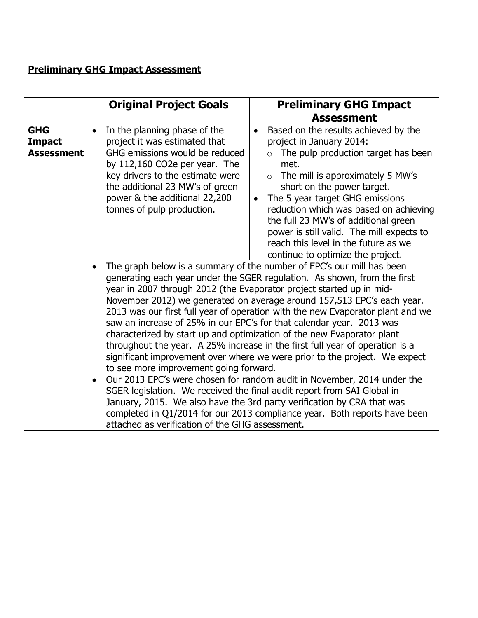### **Preliminary GHG Impact Assessment**

|                                                  | <b>Original Project Goals</b>                                                                                                                                                                                                                                                                                                                                                                                                                                                                                                                                                                                                                                                                                                                                                                                                                                                                                                                                                                                                                                                                                   | <b>Preliminary GHG Impact</b>                                                                                                                                                                                                                                                                                                                                                                                                                                         |
|--------------------------------------------------|-----------------------------------------------------------------------------------------------------------------------------------------------------------------------------------------------------------------------------------------------------------------------------------------------------------------------------------------------------------------------------------------------------------------------------------------------------------------------------------------------------------------------------------------------------------------------------------------------------------------------------------------------------------------------------------------------------------------------------------------------------------------------------------------------------------------------------------------------------------------------------------------------------------------------------------------------------------------------------------------------------------------------------------------------------------------------------------------------------------------|-----------------------------------------------------------------------------------------------------------------------------------------------------------------------------------------------------------------------------------------------------------------------------------------------------------------------------------------------------------------------------------------------------------------------------------------------------------------------|
|                                                  |                                                                                                                                                                                                                                                                                                                                                                                                                                                                                                                                                                                                                                                                                                                                                                                                                                                                                                                                                                                                                                                                                                                 | <b>Assessment</b>                                                                                                                                                                                                                                                                                                                                                                                                                                                     |
| <b>GHG</b><br><b>Impact</b><br><b>Assessment</b> | In the planning phase of the<br>project it was estimated that<br>GHG emissions would be reduced<br>by $112,160$ CO2e per year. The<br>key drivers to the estimate were<br>the additional 23 MW's of green<br>power & the additional 22,200<br>tonnes of pulp production.                                                                                                                                                                                                                                                                                                                                                                                                                                                                                                                                                                                                                                                                                                                                                                                                                                        | Based on the results achieved by the<br>$\bullet$<br>project in January 2014:<br>The pulp production target has been<br>met.<br>The mill is approximately 5 MW's<br>$\circ$<br>short on the power target.<br>The 5 year target GHG emissions<br>$\bullet$<br>reduction which was based on achieving<br>the full 23 MW's of additional green<br>power is still valid. The mill expects to<br>reach this level in the future as we<br>continue to optimize the project. |
|                                                  | The graph below is a summary of the number of EPC's our mill has been<br>generating each year under the SGER regulation. As shown, from the first<br>year in 2007 through 2012 (the Evaporator project started up in mid-<br>November 2012) we generated on average around 157,513 EPC's each year.<br>2013 was our first full year of operation with the new Evaporator plant and we<br>saw an increase of 25% in our EPC's for that calendar year. 2013 was<br>characterized by start up and optimization of the new Evaporator plant<br>throughout the year. A 25% increase in the first full year of operation is a<br>significant improvement over where we were prior to the project. We expect<br>to see more improvement going forward.<br>Our 2013 EPC's were chosen for random audit in November, 2014 under the<br>SGER legislation. We received the final audit report from SAI Global in<br>January, 2015. We also have the 3rd party verification by CRA that was<br>completed in Q1/2014 for our 2013 compliance year. Both reports have been<br>attached as verification of the GHG assessment. |                                                                                                                                                                                                                                                                                                                                                                                                                                                                       |